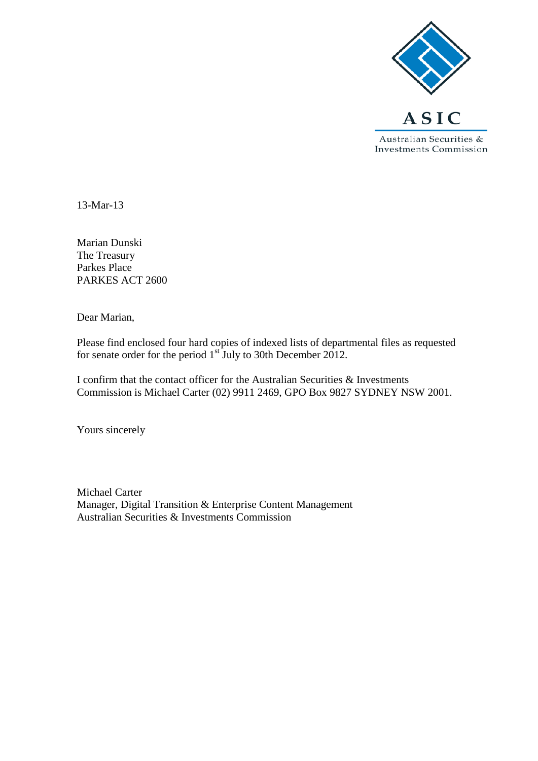

13-Mar-13

Marian Dunski The Treasury Parkes Place PARKES ACT 2600

Dear Marian,

Please find enclosed four hard copies of indexed lists of departmental files as requested for senate order for the period  $1<sup>st</sup>$  July to 30th December 2012.

I confirm that the contact officer for the Australian Securities & Investments Commission is Michael Carter (02) 9911 2469, GPO Box 9827 SYDNEY NSW 2001.

Yours sincerely

Michael Carter Manager, Digital Transition & Enterprise Content Management Australian Securities & Investments Commission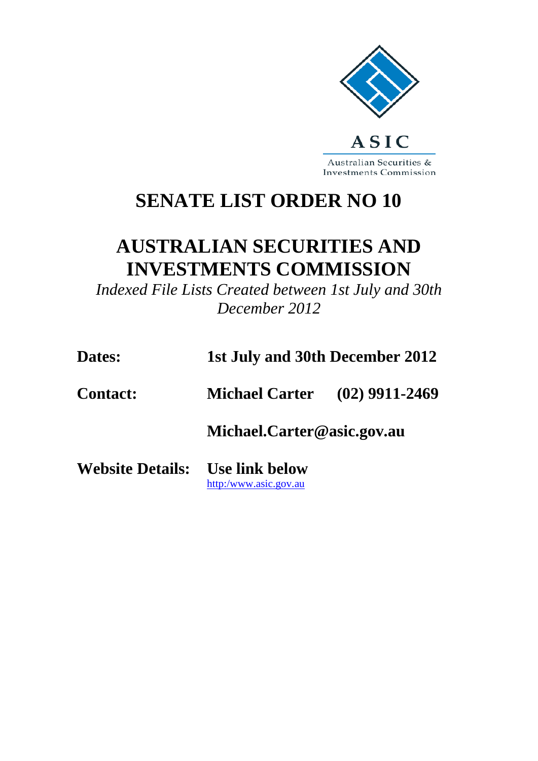

Australian Securities & **Investments Commission** 

## **SENATE LIST ORDER NO 10**

## **AUSTRALIAN SECURITIES AND INVESTMENTS COMMISSION**

*Indexed File Lists Created between 1st July and 30th December 2012*

| Dates:                          | 1st July and 30th December 2012      |  |
|---------------------------------|--------------------------------------|--|
| <b>Contact:</b>                 | <b>Michael Carter</b> (02) 9911-2469 |  |
|                                 | Michael.Carter@asic.gov.au           |  |
| Website Details: Use link below | http:/www.asic.gov.au                |  |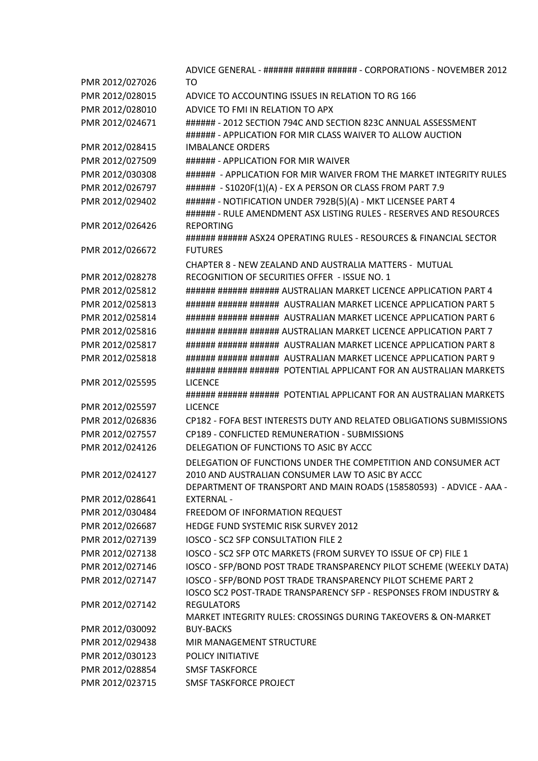|                 | ADVICE GENERAL - ###### ###### ###### - CORPORATIONS - NOVEMBER 2012                                                                    |
|-----------------|-----------------------------------------------------------------------------------------------------------------------------------------|
| PMR 2012/027026 | TO                                                                                                                                      |
| PMR 2012/028015 | ADVICE TO ACCOUNTING ISSUES IN RELATION TO RG 166                                                                                       |
| PMR 2012/028010 | ADVICE TO FMI IN RELATION TO APX                                                                                                        |
| PMR 2012/024671 | ###### - 2012 SECTION 794C AND SECTION 823C ANNUAL ASSESSMENT<br>###### - APPLICATION FOR MIR CLASS WAIVER TO ALLOW AUCTION             |
| PMR 2012/028415 | <b>IMBALANCE ORDERS</b>                                                                                                                 |
| PMR 2012/027509 | ###### - APPLICATION FOR MIR WAIVER                                                                                                     |
| PMR 2012/030308 | ###### - APPLICATION FOR MIR WAIVER FROM THE MARKET INTEGRITY RULES                                                                     |
| PMR 2012/026797 | ###### - S1020F(1)(A) - EX A PERSON OR CLASS FROM PART 7.9                                                                              |
| PMR 2012/029402 | ###### - NOTIFICATION UNDER 792B(5)(A) - MKT LICENSEE PART 4<br>###### - RULE AMENDMENT ASX LISTING RULES - RESERVES AND RESOURCES      |
| PMR 2012/026426 | <b>REPORTING</b><br>###### ###### ASX24 OPERATING RULES - RESOURCES & FINANCIAL SECTOR                                                  |
| PMR 2012/026672 | <b>FUTURES</b>                                                                                                                          |
|                 | CHAPTER 8 - NEW ZEALAND AND AUSTRALIA MATTERS - MUTUAL                                                                                  |
| PMR 2012/028278 | RECOGNITION OF SECURITIES OFFER - ISSUE NO. 1                                                                                           |
| PMR 2012/025812 | ###### ###### ###### AUSTRALIAN MARKET LICENCE APPLICATION PART 4                                                                       |
| PMR 2012/025813 | ###### ###### ###### AUSTRALIAN MARKET LICENCE APPLICATION PART 5                                                                       |
| PMR 2012/025814 | ###### ###### ###### AUSTRALIAN MARKET LICENCE APPLICATION PART 6                                                                       |
| PMR 2012/025816 | ###### ###### ###### AUSTRALIAN MARKET LICENCE APPLICATION PART 7                                                                       |
| PMR 2012/025817 | ###### ###### ###### AUSTRALIAN MARKET LICENCE APPLICATION PART 8                                                                       |
| PMR 2012/025818 | ###### ###### ###### AUSTRALIAN MARKET LICENCE APPLICATION PART 9<br>###### ###### ###### POTENTIAL APPLICANT FOR AN AUSTRALIAN MARKETS |
| PMR 2012/025595 | <b>LICENCE</b><br>###### ###### ###### POTENTIAL APPLICANT FOR AN AUSTRALIAN MARKETS                                                    |
| PMR 2012/025597 | <b>LICENCE</b>                                                                                                                          |
| PMR 2012/026836 | CP182 - FOFA BEST INTERESTS DUTY AND RELATED OBLIGATIONS SUBMISSIONS                                                                    |
| PMR 2012/027557 | CP189 - CONFLICTED REMUNERATION - SUBMISSIONS                                                                                           |
| PMR 2012/024126 | DELEGATION OF FUNCTIONS TO ASIC BY ACCC                                                                                                 |
| PMR 2012/024127 | DELEGATION OF FUNCTIONS UNDER THE COMPETITION AND CONSUMER ACT<br>2010 AND AUSTRALIAN CONSUMER LAW TO ASIC BY ACCC                      |
|                 | DEPARTMENT OF TRANSPORT AND MAIN ROADS (158580593) - ADVICE - AAA -                                                                     |
| PMR 2012/028641 | <b>EXTERNAL -</b>                                                                                                                       |
| PMR 2012/030484 | FREEDOM OF INFORMATION REQUEST                                                                                                          |
| PMR 2012/026687 | HEDGE FUND SYSTEMIC RISK SURVEY 2012                                                                                                    |
| PMR 2012/027139 | IOSCO - SC2 SFP CONSULTATION FILE 2                                                                                                     |
| PMR 2012/027138 | IOSCO - SC2 SFP OTC MARKETS (FROM SURVEY TO ISSUE OF CP) FILE 1                                                                         |
| PMR 2012/027146 | IOSCO - SFP/BOND POST TRADE TRANSPARENCY PILOT SCHEME (WEEKLY DATA)                                                                     |
| PMR 2012/027147 | IOSCO - SFP/BOND POST TRADE TRANSPARENCY PILOT SCHEME PART 2<br>IOSCO SC2 POST-TRADE TRANSPARENCY SFP - RESPONSES FROM INDUSTRY &       |
| PMR 2012/027142 | <b>REGULATORS</b><br>MARKET INTEGRITY RULES: CROSSINGS DURING TAKEOVERS & ON-MARKET                                                     |
| PMR 2012/030092 | <b>BUY-BACKS</b>                                                                                                                        |
| PMR 2012/029438 | MIR MANAGEMENT STRUCTURE                                                                                                                |
| PMR 2012/030123 | POLICY INITIATIVE                                                                                                                       |
| PMR 2012/028854 | <b>SMSF TASKFORCE</b>                                                                                                                   |
| PMR 2012/023715 | <b>SMSF TASKFORCE PROJECT</b>                                                                                                           |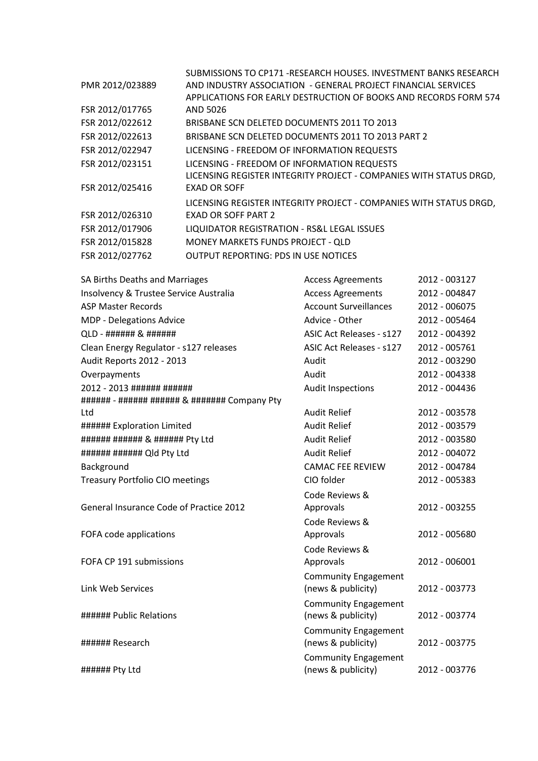|                 | SUBMISSIONS TO CP171 -RESEARCH HOUSES. INVESTMENT BANKS RESEARCH   |
|-----------------|--------------------------------------------------------------------|
| PMR 2012/023889 | AND INDUSTRY ASSOCIATION - GENERAL PROJECT FINANCIAL SERVICES      |
|                 | APPLICATIONS FOR EARLY DESTRUCTION OF BOOKS AND RECORDS FORM 574   |
| FSR 2012/017765 | AND 5026                                                           |
| FSR 2012/022612 | BRISBANE SCN DELETED DOCUMENTS 2011 TO 2013                        |
| FSR 2012/022613 | BRISBANE SCN DELETED DOCUMENTS 2011 TO 2013 PART 2                 |
| FSR 2012/022947 | LICENSING - FREEDOM OF INFORMATION REQUESTS                        |
| FSR 2012/023151 | LICENSING - FREEDOM OF INFORMATION REQUESTS                        |
|                 | LICENSING REGISTER INTEGRITY PROJECT - COMPANIES WITH STATUS DRGD, |
| FSR 2012/025416 | <b>EXAD OR SOFF</b>                                                |
|                 | LICENSING REGISTER INTEGRITY PROJECT - COMPANIES WITH STATUS DRGD, |
| FSR 2012/026310 | <b>EXAD OR SOFF PART 2</b>                                         |
| FSR 2012/017906 | LIQUIDATOR REGISTRATION - RS&L LEGAL ISSUES                        |
| FSR 2012/015828 | MONEY MARKETS FUNDS PROJECT - QLD                                  |
| FSR 2012/027762 | <b>OUTPUT REPORTING: PDS IN USE NOTICES</b>                        |
|                 |                                                                    |

| SA Births Deaths and Marriages                 | <b>Access Agreements</b>        | 2012 - 003127 |
|------------------------------------------------|---------------------------------|---------------|
| Insolvency & Trustee Service Australia         | <b>Access Agreements</b>        | 2012 - 004847 |
| <b>ASP Master Records</b>                      | <b>Account Surveillances</b>    | 2012 - 006075 |
| MDP - Delegations Advice                       | Advice - Other                  | 2012 - 005464 |
| QLD - ###### & ######                          | <b>ASIC Act Releases - s127</b> | 2012 - 004392 |
| Clean Energy Regulator - s127 releases         | <b>ASIC Act Releases - s127</b> | 2012 - 005761 |
| Audit Reports 2012 - 2013                      | Audit                           | 2012 - 003290 |
| Overpayments                                   | Audit                           | 2012 - 004338 |
| 2012 - 2013 ###### ######                      | <b>Audit Inspections</b>        | 2012 - 004436 |
| ###### - ###### ####### & ######## Company Pty |                                 |               |
| Ltd                                            | <b>Audit Relief</b>             | 2012 - 003578 |
| ###### Exploration Limited                     | <b>Audit Relief</b>             | 2012 - 003579 |
| ###### ###### & ###### Pty Ltd                 | <b>Audit Relief</b>             | 2012 - 003580 |
| ###### ####### Qld Pty Ltd                     | <b>Audit Relief</b>             | 2012 - 004072 |
| Background                                     | <b>CAMAC FEE REVIEW</b>         | 2012 - 004784 |
| <b>Treasury Portfolio CIO meetings</b>         | CIO folder                      | 2012 - 005383 |
|                                                | Code Reviews &                  |               |
| General Insurance Code of Practice 2012        | Approvals                       | 2012 - 003255 |
|                                                | Code Reviews &                  |               |
| FOFA code applications                         | Approvals                       | 2012 - 005680 |
|                                                | Code Reviews &                  |               |
| FOFA CP 191 submissions                        | Approvals                       | 2012 - 006001 |
|                                                | <b>Community Engagement</b>     |               |
| Link Web Services                              | (news & publicity)              | 2012 - 003773 |
|                                                | <b>Community Engagement</b>     |               |
| ###### Public Relations                        | (news & publicity)              | 2012 - 003774 |
|                                                | <b>Community Engagement</b>     |               |
| ###### Research                                | (news & publicity)              | 2012 - 003775 |
|                                                | <b>Community Engagement</b>     |               |
| ###### Pty Ltd                                 | (news & publicity)              | 2012 - 003776 |
|                                                |                                 |               |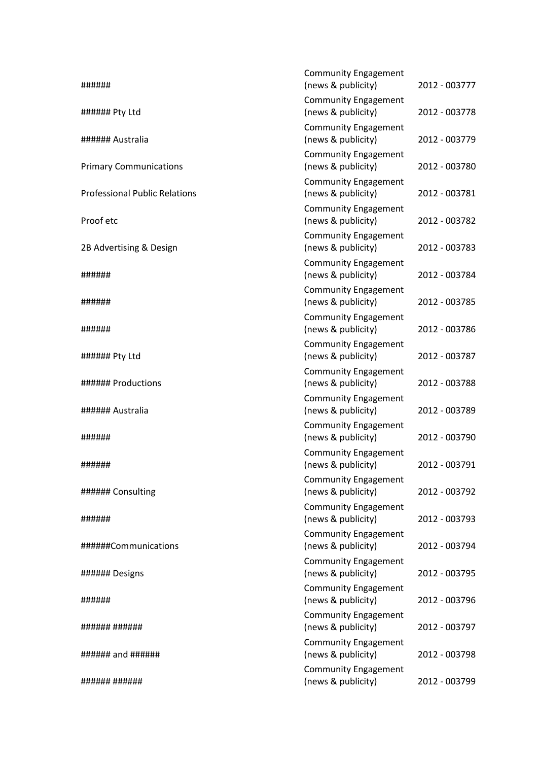| ######                               | <b>Community Engagement</b><br>(news & publicity) | 2012 - 003777 |
|--------------------------------------|---------------------------------------------------|---------------|
| ###### Pty Ltd                       | <b>Community Engagement</b><br>(news & publicity) | 2012 - 003778 |
| ###### Australia                     | <b>Community Engagement</b><br>(news & publicity) | 2012 - 003779 |
| <b>Primary Communications</b>        | <b>Community Engagement</b><br>(news & publicity) | 2012 - 003780 |
| <b>Professional Public Relations</b> | <b>Community Engagement</b><br>(news & publicity) | 2012 - 003781 |
| Proof etc                            | <b>Community Engagement</b><br>(news & publicity) | 2012 - 003782 |
| 2B Advertising & Design              | <b>Community Engagement</b><br>(news & publicity) | 2012 - 003783 |
| ######                               | <b>Community Engagement</b><br>(news & publicity) | 2012 - 003784 |
| ######                               | <b>Community Engagement</b><br>(news & publicity) | 2012 - 003785 |
| ######                               | <b>Community Engagement</b><br>(news & publicity) | 2012 - 003786 |
| ###### Pty Ltd                       | <b>Community Engagement</b><br>(news & publicity) | 2012 - 003787 |
| ###### Productions                   | <b>Community Engagement</b><br>(news & publicity) | 2012 - 003788 |
| ###### Australia                     | <b>Community Engagement</b><br>(news & publicity) | 2012 - 003789 |
| ######                               | <b>Community Engagement</b><br>(news & publicity) | 2012 - 003790 |
| ######                               | <b>Community Engagement</b><br>(news & publicity) | 2012 - 003791 |
| ###### Consulting                    | <b>Community Engagement</b><br>(news & publicity) | 2012 - 003792 |
| ######                               | <b>Community Engagement</b><br>(news & publicity) | 2012 - 003793 |
| ######Communications                 | <b>Community Engagement</b><br>(news & publicity) | 2012 - 003794 |
| ###### Designs                       | <b>Community Engagement</b><br>(news & publicity) | 2012 - 003795 |
| ######                               | <b>Community Engagement</b><br>(news & publicity) | 2012 - 003796 |
| ###### ######                        | <b>Community Engagement</b><br>(news & publicity) | 2012 - 003797 |
|                                      | <b>Community Engagement</b><br>(news & publicity) | 2012 - 003798 |
| ###### ######                        | <b>Community Engagement</b><br>(news & publicity) | 2012 - 003799 |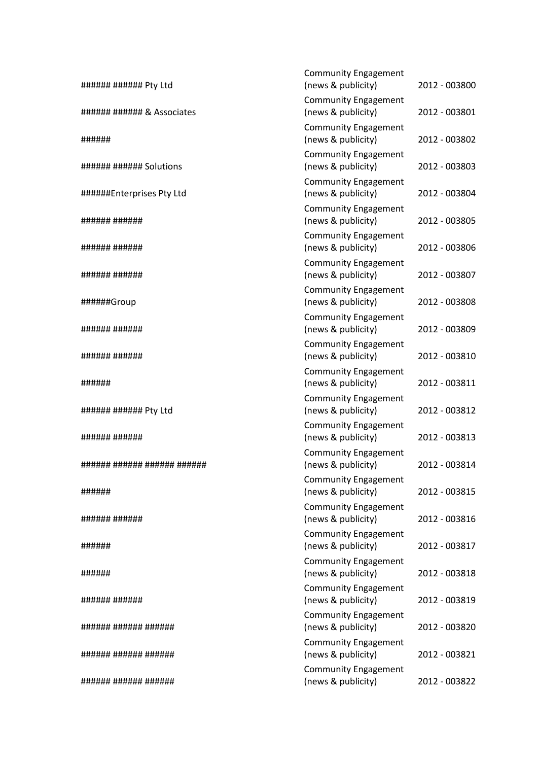| ###### ###### Pty Ltd       | <b>Community Engagement</b><br>(news & publicity) | 2012 - 003800 |
|-----------------------------|---------------------------------------------------|---------------|
| ###### ####### & Associates | <b>Community Engagement</b><br>(news & publicity) | 2012 - 003801 |
| ######                      | <b>Community Engagement</b><br>(news & publicity) | 2012 - 003802 |
| ###### ####### Solutions    | <b>Community Engagement</b><br>(news & publicity) | 2012 - 003803 |
| ######Enterprises Pty Ltd   | <b>Community Engagement</b><br>(news & publicity) | 2012 - 003804 |
| ###### ######               | <b>Community Engagement</b><br>(news & publicity) | 2012 - 003805 |
| ###### ######               | <b>Community Engagement</b><br>(news & publicity) | 2012 - 003806 |
| ###### ######               | <b>Community Engagement</b><br>(news & publicity) | 2012 - 003807 |
| ######Group                 | <b>Community Engagement</b><br>(news & publicity) | 2012 - 003808 |
| ###### ######               | <b>Community Engagement</b><br>(news & publicity) | 2012 - 003809 |
| ###### ######               | <b>Community Engagement</b><br>(news & publicity) | 2012 - 003810 |
| ######                      | <b>Community Engagement</b><br>(news & publicity) | 2012 - 003811 |
| ###### ###### Pty Ltd       | <b>Community Engagement</b><br>(news & publicity) | 2012 - 003812 |
| ############                | <b>Community Engagement</b><br>(news & publicity) | 2012 - 003813 |
| ###### ###### ###### ###### | <b>Community Engagement</b><br>(news & publicity) | 2012 - 003814 |
| ######                      | <b>Community Engagement</b><br>(news & publicity) | 2012 - 003815 |
| ###### ######               | <b>Community Engagement</b><br>(news & publicity) | 2012 - 003816 |
| ######                      | <b>Community Engagement</b><br>(news & publicity) | 2012 - 003817 |
| ######                      | <b>Community Engagement</b><br>(news & publicity) | 2012 - 003818 |
| ####### #######             | <b>Community Engagement</b><br>(news & publicity) | 2012 - 003819 |
| ###### ###### ######        | <b>Community Engagement</b><br>(news & publicity) | 2012 - 003820 |
| ###### ###### ######        | <b>Community Engagement</b><br>(news & publicity) | 2012 - 003821 |
| ####### ###### #######      | <b>Community Engagement</b><br>(news & publicity) | 2012 - 003822 |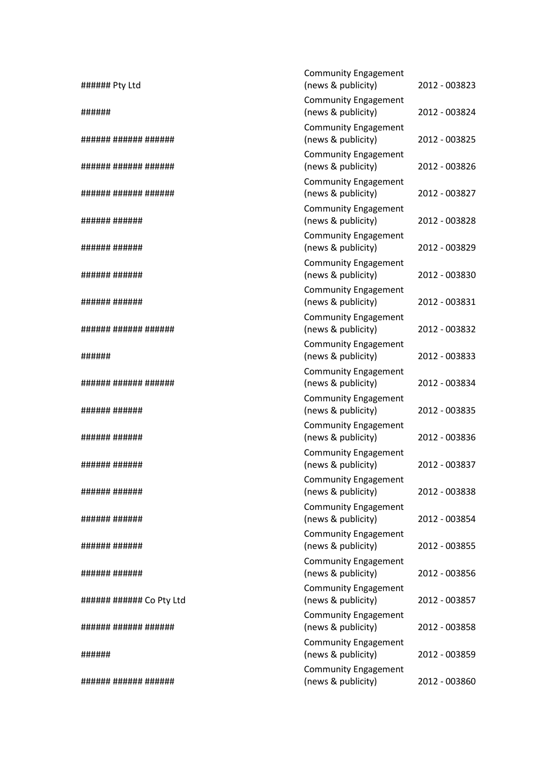| ###### Pty Ltd            | <b>Community Engagement</b><br>(news & publicity) | 2012 - 003823 |
|---------------------------|---------------------------------------------------|---------------|
|                           | <b>Community Engagement</b>                       |               |
| ######                    | (news & publicity)                                | 2012 - 003824 |
| ###### ###### ######      | <b>Community Engagement</b><br>(news & publicity) | 2012 - 003825 |
| ###### ###### ######      | <b>Community Engagement</b><br>(news & publicity) | 2012 - 003826 |
| ###### ###### ######      | <b>Community Engagement</b><br>(news & publicity) | 2012 - 003827 |
| ############              | <b>Community Engagement</b><br>(news & publicity) | 2012 - 003828 |
| ############              | <b>Community Engagement</b><br>(news & publicity) | 2012 - 003829 |
| ############              | <b>Community Engagement</b><br>(news & publicity) | 2012 - 003830 |
| ###### ######             | <b>Community Engagement</b><br>(news & publicity) | 2012 - 003831 |
| ###### ###### ######      | <b>Community Engagement</b><br>(news & publicity) | 2012 - 003832 |
| ######                    | <b>Community Engagement</b><br>(news & publicity) | 2012 - 003833 |
| ###### ###### ######      | <b>Community Engagement</b><br>(news & publicity) | 2012 - 003834 |
| ####### #######           | <b>Community Engagement</b><br>(news & publicity) | 2012 - 003835 |
| ####### #######           | <b>Community Engagement</b><br>(news & publicity) | 2012 - 003836 |
| ####### #######           | <b>Community Engagement</b><br>(news & publicity) | 2012 - 003837 |
| ####### #######           | <b>Community Engagement</b><br>(news & publicity) | 2012 - 003838 |
| ####### #######           | <b>Community Engagement</b><br>(news & publicity) | 2012 - 003854 |
| ####### #######           | <b>Community Engagement</b><br>(news & publicity) | 2012 - 003855 |
| ####### #######           | <b>Community Engagement</b><br>(news & publicity) | 2012 - 003856 |
| ###### ####### Co Pty Ltd | <b>Community Engagement</b><br>(news & publicity) | 2012 - 003857 |
| ###### ###### ######      | <b>Community Engagement</b><br>(news & publicity) | 2012 - 003858 |
| ######                    | <b>Community Engagement</b><br>(news & publicity) | 2012 - 003859 |
| ###### ###### ######      | <b>Community Engagement</b><br>(news & publicity) | 2012 - 003860 |
|                           |                                                   |               |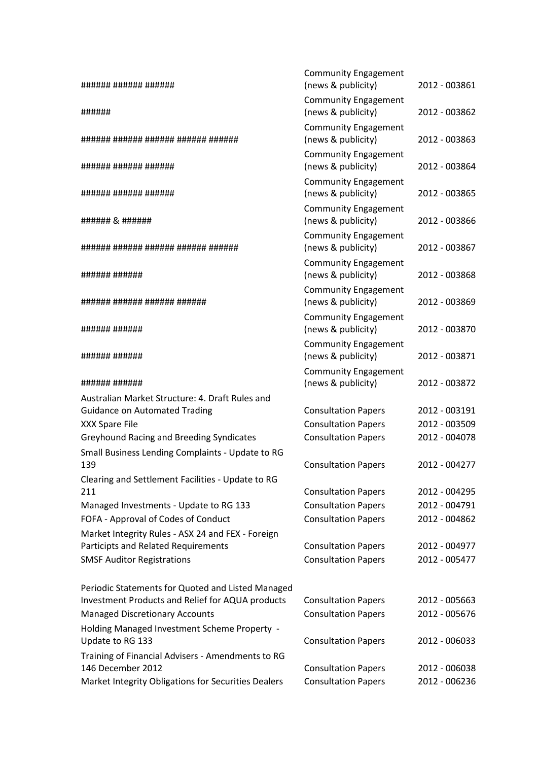| ###### ###### ######                                             | <b>Community Engagement</b><br>(news & publicity)        | 2012 - 003861                  |
|------------------------------------------------------------------|----------------------------------------------------------|--------------------------------|
|                                                                  | <b>Community Engagement</b>                              |                                |
| ######                                                           | (news & publicity)                                       | 2012 - 003862                  |
| ###### ###### ###### ###### ######                               | <b>Community Engagement</b><br>(news & publicity)        | 2012 - 003863                  |
| ###### ###### ######                                             | <b>Community Engagement</b><br>(news & publicity)        | 2012 - 003864                  |
| ###### ###### ######                                             | <b>Community Engagement</b><br>(news & publicity)        | 2012 - 003865                  |
| ###### & ######                                                  | <b>Community Engagement</b><br>(news & publicity)        | 2012 - 003866                  |
| ####### ###### ####### ###### #######                            | <b>Community Engagement</b><br>(news & publicity)        | 2012 - 003867                  |
| ####### #######                                                  | <b>Community Engagement</b><br>(news & publicity)        | 2012 - 003868                  |
| ###### ###### ###### ######                                      | <b>Community Engagement</b><br>(news & publicity)        | 2012 - 003869                  |
| ###### ######                                                    | <b>Community Engagement</b><br>(news & publicity)        | 2012 - 003870                  |
| ###### ######                                                    | <b>Community Engagement</b><br>(news & publicity)        | 2012 - 003871                  |
|                                                                  | <b>Community Engagement</b>                              |                                |
| ###### ######                                                    | (news & publicity)                                       | 2012 - 003872                  |
| Australian Market Structure: 4. Draft Rules and                  |                                                          |                                |
| <b>Guidance on Automated Trading</b><br>XXX Spare File           | <b>Consultation Papers</b><br><b>Consultation Papers</b> | 2012 - 003191<br>2012 - 003509 |
| <b>Greyhound Racing and Breeding Syndicates</b>                  | <b>Consultation Papers</b>                               | 2012 - 004078                  |
| Small Business Lending Complaints - Update to RG                 |                                                          |                                |
| 139                                                              | <b>Consultation Papers</b>                               | 2012 - 004277                  |
| Clearing and Settlement Facilities - Update to RG                |                                                          |                                |
| 211                                                              | <b>Consultation Papers</b>                               | 2012 - 004295                  |
| Managed Investments - Update to RG 133                           | <b>Consultation Papers</b>                               | 2012 - 004791                  |
| FOFA - Approval of Codes of Conduct                              | <b>Consultation Papers</b>                               | 2012 - 004862                  |
| Market Integrity Rules - ASX 24 and FEX - Foreign                |                                                          |                                |
| Participts and Related Requirements                              | <b>Consultation Papers</b>                               | 2012 - 004977                  |
| <b>SMSF Auditor Registrations</b>                                | <b>Consultation Papers</b>                               | 2012 - 005477                  |
| Periodic Statements for Quoted and Listed Managed                |                                                          |                                |
| Investment Products and Relief for AQUA products                 | <b>Consultation Papers</b>                               | 2012 - 005663                  |
| <b>Managed Discretionary Accounts</b>                            | <b>Consultation Papers</b>                               | 2012 - 005676                  |
| Holding Managed Investment Scheme Property -<br>Update to RG 133 | <b>Consultation Papers</b>                               | 2012 - 006033                  |
| Training of Financial Advisers - Amendments to RG                |                                                          |                                |
| 146 December 2012                                                | <b>Consultation Papers</b>                               | 2012 - 006038                  |
| Market Integrity Obligations for Securities Dealers              | <b>Consultation Papers</b>                               | 2012 - 006236                  |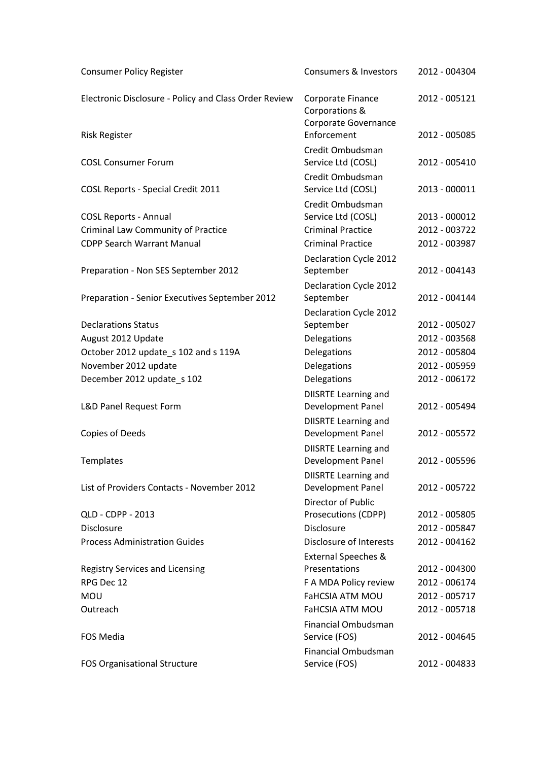| <b>Consumer Policy Register</b>                       | <b>Consumers &amp; Investors</b>                            | 2012 - 004304 |
|-------------------------------------------------------|-------------------------------------------------------------|---------------|
| Electronic Disclosure - Policy and Class Order Review | Corporate Finance<br>Corporations &<br>Corporate Governance | 2012 - 005121 |
| <b>Risk Register</b>                                  | Enforcement                                                 | 2012 - 005085 |
| <b>COSL Consumer Forum</b>                            | Credit Ombudsman<br>Service Ltd (COSL)                      | 2012 - 005410 |
| <b>COSL Reports - Special Credit 2011</b>             | Credit Ombudsman<br>Service Ltd (COSL)                      | 2013 - 000011 |
| <b>COSL Reports - Annual</b>                          | Credit Ombudsman<br>Service Ltd (COSL)                      | 2013 - 000012 |
| <b>Criminal Law Community of Practice</b>             | <b>Criminal Practice</b>                                    | 2012 - 003722 |
| <b>CDPP Search Warrant Manual</b>                     | <b>Criminal Practice</b>                                    | 2012 - 003987 |
| Preparation - Non SES September 2012                  | Declaration Cycle 2012<br>September                         | 2012 - 004143 |
|                                                       | Declaration Cycle 2012                                      |               |
| Preparation - Senior Executives September 2012        | September                                                   | 2012 - 004144 |
|                                                       | Declaration Cycle 2012                                      |               |
| <b>Declarations Status</b>                            | September                                                   | 2012 - 005027 |
| August 2012 Update                                    | Delegations                                                 | 2012 - 003568 |
| October 2012 update_s 102 and s 119A                  | Delegations                                                 | 2012 - 005804 |
| November 2012 update                                  | Delegations                                                 | 2012 - 005959 |
| December 2012 update_s 102                            | Delegations                                                 | 2012 - 006172 |
|                                                       | <b>DIISRTE Learning and</b>                                 |               |
| L&D Panel Request Form                                | Development Panel                                           | 2012 - 005494 |
| Copies of Deeds                                       | <b>DIISRTE Learning and</b><br>Development Panel            | 2012 - 005572 |
| Templates                                             | <b>DIISRTE Learning and</b><br>Development Panel            | 2012 - 005596 |
|                                                       | <b>DIISRTE Learning and</b>                                 |               |
| List of Providers Contacts - November 2012            | Development Panel                                           | 2012 - 005722 |
|                                                       | Director of Public                                          |               |
| QLD - CDPP - 2013                                     | Prosecutions (CDPP)                                         | 2012 - 005805 |
| Disclosure                                            | Disclosure                                                  | 2012 - 005847 |
| <b>Process Administration Guides</b>                  | Disclosure of Interests                                     | 2012 - 004162 |
|                                                       | <b>External Speeches &amp;</b><br>Presentations             | 2012 - 004300 |
| <b>Registry Services and Licensing</b><br>RPG Dec 12  | F A MDA Policy review                                       | 2012 - 006174 |
| <b>MOU</b>                                            | <b>FaHCSIA ATM MOU</b>                                      | 2012 - 005717 |
| Outreach                                              | <b>FaHCSIA ATM MOU</b>                                      | 2012 - 005718 |
|                                                       |                                                             |               |
| <b>FOS Media</b>                                      | <b>Financial Ombudsman</b><br>Service (FOS)                 | 2012 - 004645 |
| FOS Organisational Structure                          | Financial Ombudsman<br>Service (FOS)                        | 2012 - 004833 |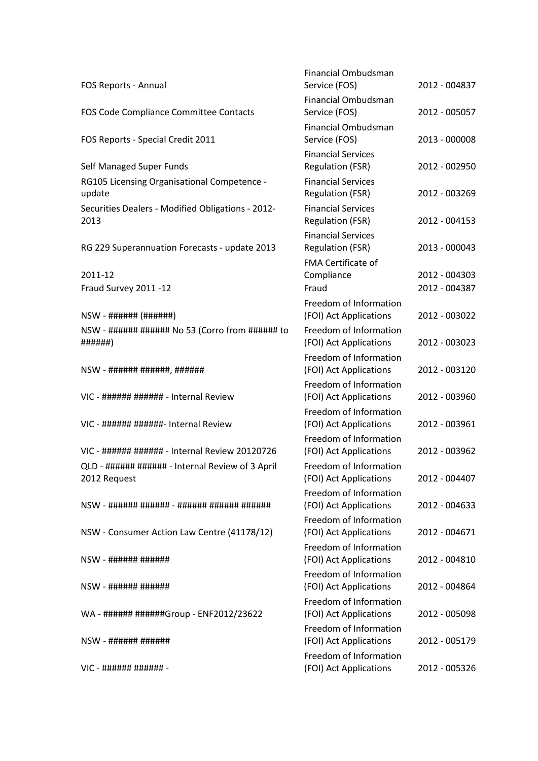|                                                                  | <b>Financial Ombudsman</b>                           |               |
|------------------------------------------------------------------|------------------------------------------------------|---------------|
| FOS Reports - Annual                                             | Service (FOS)                                        | 2012 - 004837 |
| FOS Code Compliance Committee Contacts                           | <b>Financial Ombudsman</b><br>Service (FOS)          | 2012 - 005057 |
| FOS Reports - Special Credit 2011                                | <b>Financial Ombudsman</b><br>Service (FOS)          | 2013 - 000008 |
|                                                                  | <b>Financial Services</b>                            |               |
| Self Managed Super Funds                                         | <b>Regulation (FSR)</b>                              | 2012 - 002950 |
| RG105 Licensing Organisational Competence -<br>update            | <b>Financial Services</b><br><b>Regulation (FSR)</b> | 2012 - 003269 |
| Securities Dealers - Modified Obligations - 2012-<br>2013        | <b>Financial Services</b><br><b>Regulation (FSR)</b> | 2012 - 004153 |
| RG 229 Superannuation Forecasts - update 2013                    | <b>Financial Services</b><br><b>Regulation (FSR)</b> | 2013 - 000043 |
| 2011-12                                                          | <b>FMA Certificate of</b><br>Compliance              | 2012 - 004303 |
| Fraud Survey 2011 -12                                            | Fraud                                                | 2012 - 004387 |
|                                                                  | Freedom of Information<br>(FOI) Act Applications     | 2012 - 003022 |
| NSW - ###### ###### No 53 (Corro from ###### to<br>######}       | Freedom of Information<br>(FOI) Act Applications     | 2012 - 003023 |
|                                                                  | Freedom of Information<br>(FOI) Act Applications     | 2012 - 003120 |
| VIC - ###### ####### - Internal Review                           | Freedom of Information<br>(FOI) Act Applications     | 2012 - 003960 |
| VIC - ###### #######- Internal Review                            | Freedom of Information<br>(FOI) Act Applications     | 2012 - 003961 |
| VIC - ###### ###### - Internal Review 20120726                   | Freedom of Information<br>(FOI) Act Applications     | 2012 - 003962 |
| QLD - ###### ###### - Internal Review of 3 April<br>2012 Request | Freedom of Information<br>(FOI) Act Applications     | 2012 - 004407 |
|                                                                  | Freedom of Information<br>(FOI) Act Applications     | 2012 - 004633 |
| NSW - Consumer Action Law Centre (41178/12)                      | Freedom of Information<br>(FOI) Act Applications     | 2012 - 004671 |
|                                                                  | Freedom of Information<br>(FOI) Act Applications     | 2012 - 004810 |
|                                                                  | Freedom of Information<br>(FOI) Act Applications     | 2012 - 004864 |
| WA - ###### ######Group - ENF2012/23622                          | Freedom of Information<br>(FOI) Act Applications     | 2012 - 005098 |
|                                                                  | Freedom of Information<br>(FOI) Act Applications     | 2012 - 005179 |
| $VIC - # # # # # # # # # # # # + -$                              | Freedom of Information<br>(FOI) Act Applications     | 2012 - 005326 |
|                                                                  |                                                      |               |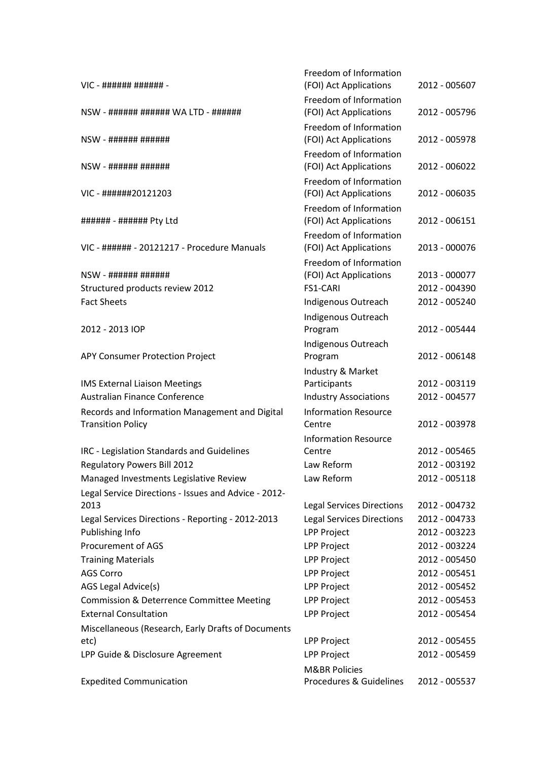|                                                                            | Freedom of Information                           |               |
|----------------------------------------------------------------------------|--------------------------------------------------|---------------|
| VIC - ###### ###### -                                                      | (FOI) Act Applications                           | 2012 - 005607 |
| NSW - ###### ###### WA LTD - ######                                        | Freedom of Information<br>(FOI) Act Applications | 2012 - 005796 |
|                                                                            | Freedom of Information                           |               |
| NSW - ###### ######                                                        | (FOI) Act Applications                           | 2012 - 005978 |
|                                                                            | Freedom of Information                           |               |
|                                                                            | (FOI) Act Applications                           | 2012 - 006022 |
|                                                                            | Freedom of Information                           |               |
| VIC - ######20121203                                                       | (FOI) Act Applications                           | 2012 - 006035 |
|                                                                            | Freedom of Information                           |               |
| ###### - ###### Pty Ltd                                                    | (FOI) Act Applications                           | 2012 - 006151 |
|                                                                            | Freedom of Information                           |               |
| VIC - ###### - 20121217 - Procedure Manuals                                | (FOI) Act Applications                           | 2013 - 000076 |
|                                                                            | Freedom of Information                           |               |
| NSW - ###### ######                                                        | (FOI) Act Applications                           | 2013 - 000077 |
| Structured products review 2012                                            | FS1-CARI                                         | 2012 - 004390 |
| <b>Fact Sheets</b>                                                         | Indigenous Outreach                              | 2012 - 005240 |
|                                                                            | Indigenous Outreach                              |               |
| 2012 - 2013 IOP                                                            | Program                                          | 2012 - 005444 |
|                                                                            | Indigenous Outreach<br>Program                   | 2012 - 006148 |
| APY Consumer Protection Project                                            |                                                  |               |
| <b>IMS External Liaison Meetings</b>                                       | Industry & Market<br>Participants                | 2012 - 003119 |
| Australian Finance Conference                                              | <b>Industry Associations</b>                     | 2012 - 004577 |
|                                                                            | <b>Information Resource</b>                      |               |
| Records and Information Management and Digital<br><b>Transition Policy</b> | Centre                                           | 2012 - 003978 |
|                                                                            | <b>Information Resource</b>                      |               |
| IRC - Legislation Standards and Guidelines                                 | Centre                                           | 2012 - 005465 |
| <b>Regulatory Powers Bill 2012</b>                                         | Law Reform                                       | 2012 - 003192 |
| Managed Investments Legislative Review                                     | Law Reform                                       | 2012 - 005118 |
| Legal Service Directions - Issues and Advice - 2012-                       |                                                  |               |
| 2013                                                                       | <b>Legal Services Directions</b>                 | 2012 - 004732 |
| Legal Services Directions - Reporting - 2012-2013                          | <b>Legal Services Directions</b>                 | 2012 - 004733 |
| Publishing Info                                                            | <b>LPP Project</b>                               | 2012 - 003223 |
| Procurement of AGS                                                         | <b>LPP Project</b>                               | 2012 - 003224 |
| <b>Training Materials</b>                                                  | <b>LPP Project</b>                               | 2012 - 005450 |
| <b>AGS Corro</b>                                                           | <b>LPP Project</b>                               | 2012 - 005451 |
| AGS Legal Advice(s)                                                        | LPP Project                                      | 2012 - 005452 |
| Commission & Deterrence Committee Meeting                                  | LPP Project                                      | 2012 - 005453 |
| <b>External Consultation</b>                                               | LPP Project                                      | 2012 - 005454 |
| Miscellaneous (Research, Early Drafts of Documents                         |                                                  |               |
| etc)                                                                       | LPP Project                                      | 2012 - 005455 |
| LPP Guide & Disclosure Agreement                                           | <b>LPP Project</b>                               | 2012 - 005459 |
|                                                                            | <b>M&amp;BR Policies</b>                         |               |
| <b>Expedited Communication</b>                                             | Procedures & Guidelines                          | 2012 - 005537 |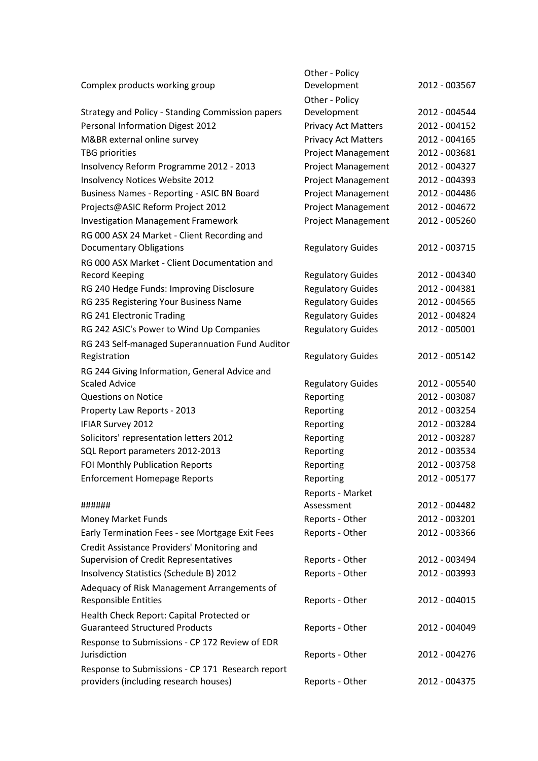|                                                  | Other - Policy             |               |
|--------------------------------------------------|----------------------------|---------------|
| Complex products working group                   | Development                | 2012 - 003567 |
|                                                  | Other - Policy             |               |
| Strategy and Policy - Standing Commission papers | Development                | 2012 - 004544 |
| Personal Information Digest 2012                 | <b>Privacy Act Matters</b> | 2012 - 004152 |
| M&BR external online survey                      | <b>Privacy Act Matters</b> | 2012 - 004165 |
| <b>TBG</b> priorities                            | <b>Project Management</b>  | 2012 - 003681 |
| Insolvency Reform Programme 2012 - 2013          | <b>Project Management</b>  | 2012 - 004327 |
| Insolvency Notices Website 2012                  | <b>Project Management</b>  | 2012 - 004393 |
| Business Names - Reporting - ASIC BN Board       | <b>Project Management</b>  | 2012 - 004486 |
| Projects@ASIC Reform Project 2012                | <b>Project Management</b>  | 2012 - 004672 |
| <b>Investigation Management Framework</b>        | <b>Project Management</b>  | 2012 - 005260 |
| RG 000 ASX 24 Market - Client Recording and      |                            |               |
| <b>Documentary Obligations</b>                   | <b>Regulatory Guides</b>   | 2012 - 003715 |
| RG 000 ASX Market - Client Documentation and     |                            |               |
| <b>Record Keeping</b>                            | <b>Regulatory Guides</b>   | 2012 - 004340 |
| RG 240 Hedge Funds: Improving Disclosure         | <b>Regulatory Guides</b>   | 2012 - 004381 |
| RG 235 Registering Your Business Name            | <b>Regulatory Guides</b>   | 2012 - 004565 |
| RG 241 Electronic Trading                        | <b>Regulatory Guides</b>   | 2012 - 004824 |
| RG 242 ASIC's Power to Wind Up Companies         | <b>Regulatory Guides</b>   | 2012 - 005001 |
| RG 243 Self-managed Superannuation Fund Auditor  |                            |               |
| Registration                                     | <b>Regulatory Guides</b>   | 2012 - 005142 |
| RG 244 Giving Information, General Advice and    |                            |               |
| <b>Scaled Advice</b>                             | <b>Regulatory Guides</b>   | 2012 - 005540 |
| <b>Questions on Notice</b>                       | Reporting                  | 2012 - 003087 |
| Property Law Reports - 2013                      | Reporting                  | 2012 - 003254 |
| <b>IFIAR Survey 2012</b>                         | Reporting                  | 2012 - 003284 |
| Solicitors' representation letters 2012          | Reporting                  | 2012 - 003287 |
| SQL Report parameters 2012-2013                  | Reporting                  | 2012 - 003534 |
| FOI Monthly Publication Reports                  | Reporting                  | 2012 - 003758 |
| <b>Enforcement Homepage Reports</b>              | Reporting                  | 2012 - 005177 |
|                                                  | Reports - Market           |               |
| ######                                           | Assessment                 | 2012 - 004482 |
| Money Market Funds                               | Reports - Other            | 2012 - 003201 |
| Early Termination Fees - see Mortgage Exit Fees  | Reports - Other            | 2012 - 003366 |
| Credit Assistance Providers' Monitoring and      |                            |               |
| <b>Supervision of Credit Representatives</b>     | Reports - Other            | 2012 - 003494 |
| Insolvency Statistics (Schedule B) 2012          | Reports - Other            | 2012 - 003993 |
| Adequacy of Risk Management Arrangements of      |                            |               |
| <b>Responsible Entities</b>                      | Reports - Other            | 2012 - 004015 |
| Health Check Report: Capital Protected or        |                            |               |
| <b>Guaranteed Structured Products</b>            | Reports - Other            | 2012 - 004049 |
| Response to Submissions - CP 172 Review of EDR   |                            |               |
| Jurisdiction                                     | Reports - Other            | 2012 - 004276 |
| Response to Submissions - CP 171 Research report |                            |               |
| providers (including research houses)            | Reports - Other            | 2012 - 004375 |